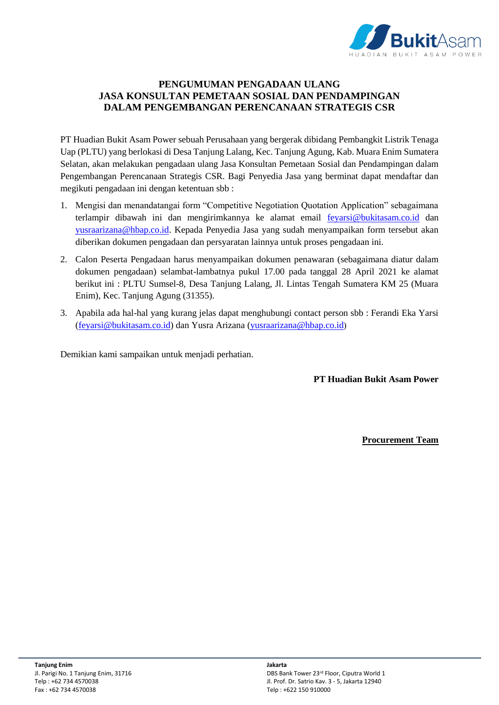

## **PENGUMUMAN PENGADAAN ULANG JASA KONSULTAN PEMETAAN SOSIAL DAN PENDAMPINGAN DALAM PENGEMBANGAN PERENCANAAN STRATEGIS CSR**

PT Huadian Bukit Asam Power sebuah Perusahaan yang bergerak dibidang Pembangkit Listrik Tenaga Uap (PLTU) yang berlokasi di Desa Tanjung Lalang, Kec. Tanjung Agung, Kab. Muara Enim Sumatera Selatan, akan melakukan pengadaan ulang Jasa Konsultan Pemetaan Sosial dan Pendampingan dalam Pengembangan Perencanaan Strategis CSR. Bagi Penyedia Jasa yang berminat dapat mendaftar dan megikuti pengadaan ini dengan ketentuan sbb :

- 1. Mengisi dan menandatangai form "Competitive Negotiation Quotation Application" sebagaimana terlampir dibawah ini dan mengirimkannya ke alamat email [feyarsi@bukitasam.co.id](mailto:feyarsi@bukitasam.co.id) dan [yusraarizana@hbap.co.id.](mailto:yusraarizana@hbap.co.id) Kepada Penyedia Jasa yang sudah menyampaikan form tersebut akan diberikan dokumen pengadaan dan persyaratan lainnya untuk proses pengadaan ini.
- 2. Calon Peserta Pengadaan harus menyampaikan dokumen penawaran (sebagaimana diatur dalam dokumen pengadaan) selambat-lambatnya pukul 17.00 pada tanggal 28 April 2021 ke alamat berikut ini : PLTU Sumsel-8, Desa Tanjung Lalang, Jl. Lintas Tengah Sumatera KM 25 (Muara Enim), Kec. Tanjung Agung (31355).
- 3. Apabila ada hal-hal yang kurang jelas dapat menghubungi contact person sbb : Ferandi Eka Yarsi [\(feyarsi@bukitasam.co.id\)](mailto:feyarsi@bukitasam.co.id) dan Yusra Arizana [\(yusraarizana@hbap.co.id](mailto:yusraarizana@hbap.co.id))

Demikian kami sampaikan untuk menjadi perhatian.

**PT Huadian Bukit Asam Power**

**Procurement Team**